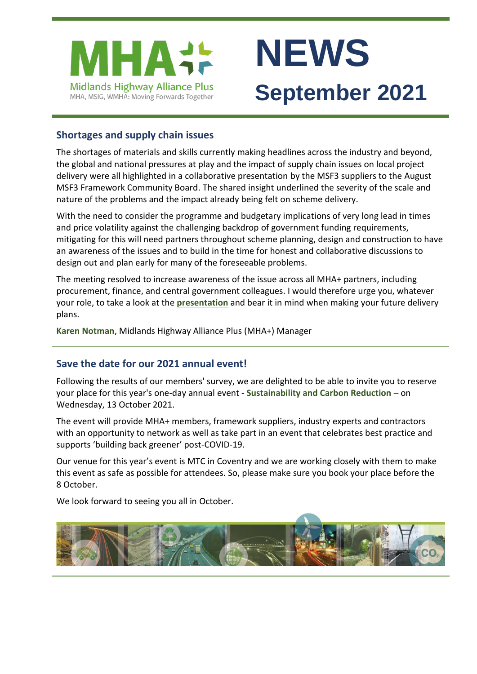

# **NEWS September 2021**

# **Shortages and supply chain issues**

The shortages of materials and skills currently making headlines across the industry and beyond, the global and national pressures at play and the impact of supply chain issues on local project delivery were all highlighted in a collaborative presentation by the MSF3 suppliers to the August MSF3 Framework Community Board. The shared insight underlined the severity of the scale and nature of the problems and the impact already being felt on scheme delivery.

With the need to consider the programme and budgetary implications of very long lead in times and price volatility against the challenging backdrop of government funding requirements, mitigating for this will need partners throughout scheme planning, design and construction to have an awareness of the issues and to build in the time for honest and collaborative discussions to design out and plan early for many of the foreseeable problems.

The meeting resolved to increase awareness of the issue across all MHA+ partners, including procurement, finance, and central government colleagues. I would therefore urge you, whatever your role, to take a look at the **[presentation](https://www.mhaplus.org.uk/download/MHA-Material-and-supply-chain-risk.pdf)** and bear it in mind when making your future delivery plans.

**[Karen Notman](mailto:Karen.Notman@leics.gov.uk)**, Midlands Highway Alliance Plus (MHA+) Manager

## **Save the date for our 2021 annual event!**

Following the results of our members' survey, we are delighted to be able to invite you to reserve your place for this year's one-day annual event - **[Sustainability and Carbon Reduction](https://www.mhaplus.org.uk/events/annual-event-2021/)** – on Wednesday, 13 October 2021.

The event will provide MHA+ members, framework suppliers, industry experts and contractors with an opportunity to network as well as take part in an event that celebrates best practice and supports 'building back greener' post-COVID-19.

Our venue for this year's event is MTC in Coventry and we are working closely with them to make this event as safe as possible for attendees. So, please make sure you book your place before the 8 October.

We look forward to seeing you all in October.

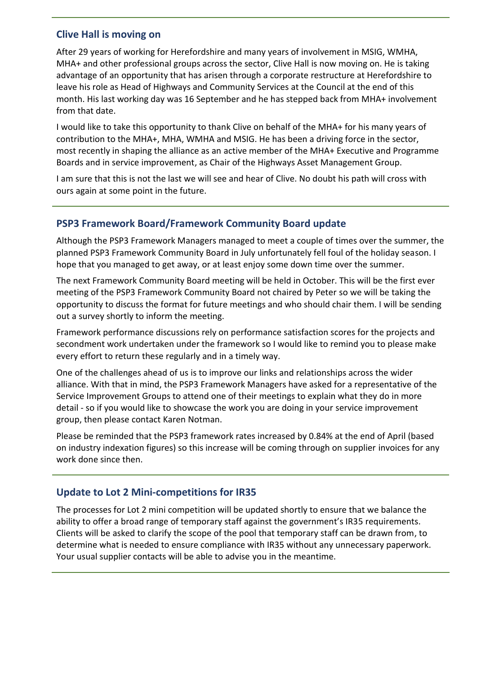## **Clive Hall is moving on**

After 29 years of working for Herefordshire and many years of involvement in MSIG, WMHA, MHA+ and other professional groups across the sector, Clive Hall is now moving on. He is taking advantage of an opportunity that has arisen through a corporate restructure at Herefordshire to leave his role as Head of Highways and Community Services at the Council at the end of this month. His last working day was 16 September and he has stepped back from MHA+ involvement from that date.

I would like to take this opportunity to thank Clive on behalf of the MHA+ for his many years of contribution to the MHA+, MHA, WMHA and MSIG. He has been a driving force in the sector, most recently in shaping the alliance as an active member of the MHA+ Executive and Programme Boards and in service improvement, as Chair of the Highways Asset Management Group.

I am sure that this is not the last we will see and hear of Clive. No doubt his path will cross with ours again at some point in the future.

#### **PSP3 Framework Board/Framework Community Board update**

Although the PSP3 Framework Managers managed to meet a couple of times over the summer, the planned PSP3 Framework Community Board in July unfortunately fell foul of the holiday season. I hope that you managed to get away, or at least enjoy some down time over the summer.

The next Framework Community Board meeting will be held in October. This will be the first ever meeting of the PSP3 Framework Community Board not chaired by Peter so we will be taking the opportunity to discuss the format for future meetings and who should chair them. I will be sending out a survey shortly to inform the meeting.

Framework performance discussions rely on performance satisfaction scores for the projects and secondment work undertaken under the framework so I would like to remind you to please make every effort to return these regularly and in a timely way.

One of the challenges ahead of us is to improve our links and relationships across the wider alliance. With that in mind, the PSP3 Framework Managers have asked for a representative of the Service Improvement Groups to attend one of their meetings to explain what they do in more detail - so if you would like to showcase the work you are doing in your service improvement group, then please contact Karen Notman.

Please be reminded that the PSP3 framework rates increased by 0.84% at the end of April (based on industry indexation figures) so this increase will be coming through on supplier invoices for any work done since then.

## **Update to Lot 2 Mini-competitions for IR35**

The processes for Lot 2 mini competition will be updated shortly to ensure that we balance the ability to offer a broad range of temporary staff against the government's IR35 requirements. Clients will be asked to clarify the scope of the pool that temporary staff can be drawn from, to determine what is needed to ensure compliance with IR35 without any unnecessary paperwork. Your usual supplier contacts will be able to advise you in the meantime.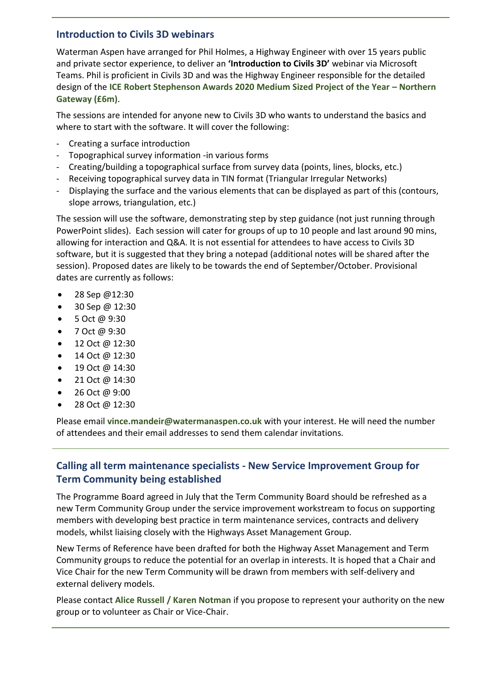## **Introduction to Civils 3D webinars**

Waterman Aspen have arranged for Phil Holmes, a Highway Engineer with over 15 years public and private sector experience, to deliver an **'Introduction to Civils 3D'** webinar via Microsoft Teams. Phil is proficient in Civils 3D and was the Highway Engineer responsible for the detailed design of the **[ICE Robert Stephenson Awards 2020 Medium Sized Project of the Year](https://www.ice.org.uk/news-and-insight/latest-ice-news/ice-ne-awards-recognise-top-engineering-projects) – Northern [Gateway \(£6m\)](https://www.ice.org.uk/news-and-insight/latest-ice-news/ice-ne-awards-recognise-top-engineering-projects)**.

The sessions are intended for anyone new to Civils 3D who wants to understand the basics and where to start with the software. It will cover the following:

- Creating a surface introduction
- Topographical survey information -in various forms
- Creating/building a topographical surface from survey data (points, lines, blocks, etc.)
- Receiving topographical survey data in TIN format (Triangular Irregular Networks)
- Displaying the surface and the various elements that can be displayed as part of this (contours, slope arrows, triangulation, etc.)

The session will use the software, demonstrating step by step guidance (not just running through PowerPoint slides). Each session will cater for groups of up to 10 people and last around 90 mins, allowing for interaction and Q&A. It is not essential for attendees to have access to Civils 3D software, but it is suggested that they bring a notepad (additional notes will be shared after the session). Proposed dates are likely to be towards the end of September/October. Provisional dates are currently as follows:

- 28 Sep  $@12:30$
- 30 Sep @ 12:30
- 5 Oct @ 9:30
- 7 Oct @ 9:30
- 12 Oct @ 12:30
- 14 Oct @ 12:30
- 19 Oct @ 14:30
- 21 Oct @ 14:30
- 26 Oct @  $9:00$
- 28 Oct @ 12:30

Please email **[vince.mandeir@watermanaspen.co.uk](mailto:vince.mandeir@watermanaspen.co.uk)** with your interest. He will need the number of attendees and their email addresses to send them calendar invitations.

# **Calling all term maintenance specialists - New Service Improvement Group for Term Community being established**

The Programme Board agreed in July that the Term Community Board should be refreshed as a new Term Community Group under the service improvement workstream to focus on supporting members with developing best practice in term maintenance services, contracts and delivery models, whilst liaising closely with the Highways Asset Management Group.

New Terms of Reference have been drafted for both the Highway Asset Management and Term Community groups to reduce the potential for an overlap in interests. It is hoped that a Chair and Vice Chair for the new Term Community will be drawn from members with self-delivery and external delivery models.

Please contact **[Alice Russell](mailto:alice.russell@derbyshire.gov.uk) / [Karen Notman](mailto:Karen.Notman@leics.gov.uk)** if you propose to represent your authority on the new group or to volunteer as Chair or Vice-Chair.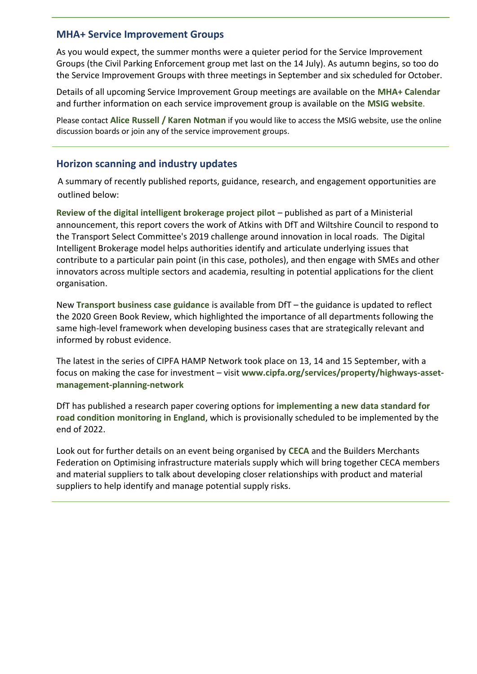#### **MHA+ Service Improvement Groups**

As you would expect, the summer months were a quieter period for the Service Improvement Groups (the Civil Parking Enforcement group met last on the 14 July). As autumn begins, so too do the Service Improvement Groups with three meetings in September and six scheduled for October.

Details of all upcoming Service Improvement Group meetings are available on the **[MHA+ Calendar](https://www.mhaplus.org.uk/calendar/)** and further information on each service improvement group is available on the **[MSIG website](https://msig.econtrack.com/Content.aspx?1802)**.

Please contact **[Alice Russell](mailto:alice.russell@derbyshire.gov.uk) / [Karen Notman](mailto:Karen.Notman@leics.gov.uk)** if you would like to access the MSIG website, use the online discussion boards or join any of the service improvement groups.

## **Horizon scanning and industry updates**

A summary of recently published reports, guidance, research, and engagement opportunities are outlined below:

**[Review of the digital intelligent brokerage project pilot](https://www.gov.uk/government/publications/review-of-the-digital-intelligent-brokerage-project-pilot)** – published as part of a Ministerial announcement, this report covers the work of Atkins with DfT and Wiltshire Council to respond to the Transport Select Committee's 2019 challenge around innovation in local roads. The Digital Intelligent Brokerage model helps authorities identify and articulate underlying issues that contribute to a particular pain point (in this case, potholes), and then engage with SMEs and other innovators across multiple sectors and academia, resulting in potential applications for the client organisation.

New **[Transport business case guidance](https://www.gov.uk/government/publications/transport-business-case#history)** is available from DfT – the guidance is updated to reflect the 2020 Green Book Review, which highlighted the importance of all departments following the same high-level framework when developing business cases that are strategically relevant and informed by robust evidence.

The latest in the series of CIPFA HAMP Network took place on 13, 14 and 15 September, with a focus on making the case for investment – visit **[www.cipfa.org/services/property/highways-asset](http://www.cipfa.org/services/property/highways-asset-management-planning-network)[management-planning-network](http://www.cipfa.org/services/property/highways-asset-management-planning-network)**

DfT has published a research paper covering options for **[implementing a new data standard for](https://www.gov.uk/government/publications/implementing-a-data-standard-for-road-condition-monitoring)  [road condition monitoring in England](https://www.gov.uk/government/publications/implementing-a-data-standard-for-road-condition-monitoring)**, which is provisionally scheduled to be implemented by the end of 2022.

Look out for further details on an event being organised by **[CECA](https://www.ceca.co.uk/)** and the Builders Merchants Federation on Optimising infrastructure materials supply which will bring together CECA members and material suppliers to talk about developing closer relationships with product and material suppliers to help identify and manage potential supply risks.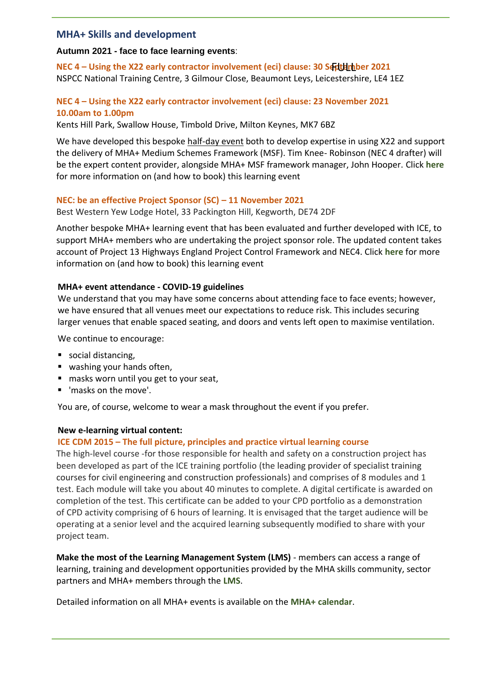#### **MHA+ Skills and development**

#### **Autumn 2021 - face to face learning events**:

**NEC 4 – Using the X22 early contractor involvement (eci) clause: 30 ScrttHrhber 2021** NSPCC National Training Centre, 3 Gilmour Close, Beaumont Leys, Leicestershire, LE4 1EZ

#### **NEC 4 – Using the X22 early contractor involvement (eci) clause: 23 November 2021 10.00am to 1.00pm**

Kents Hill Park, Swallow House, Timbold Drive, Milton Keynes, MK7 6BZ

We have developed this bespoke half-day event both to develop expertise in using X22 and support the delivery of MHA+ Medium Schemes Framework (MSF). Tim Knee- Robinson (NEC 4 drafter) will be the expert content provider, alongside MHA+ MSF framework manager, John Hooper. Click **[here](https://www.mhaplus.org.uk/events/new-2021-nec-4-using-x22-early-contractor-involvement-eci-clause-sc/)** for more information on (and how to book) this learning event

#### **NEC: be an effective Project Sponsor (SC) – 11 November 2021**

Best Western Yew Lodge Hotel, 33 Packington Hill, Kegworth, DE74 2DF

Another bespoke MHA+ learning event that has been evaluated and further developed with ICE, to support MHA+ members who are undertaking the project sponsor role. The updated content takes account of Project 13 Highways England Project Control Framework and NEC4. Click **[here](https://www.mhaplus.org.uk/events/new-nec-be-an-effective-project-sponsor-sc/)** for more information on (and how to book) this learning event

#### **MHA+ event attendance - COVID-19 guidelines**

We understand that you may have some concerns about attending face to face events; however, we have ensured that all venues meet our expectations to reduce risk. This includes securing larger venues that enable spaced seating, and doors and vents left open to maximise ventilation.

We continue to encourage:

- social distancing,
- washing your hands often,
- masks worn until you get to your seat,
- 'masks on the move'.

You are, of course, welcome to wear a mask throughout the event if you prefer.

#### **New e-learning virtual content:**

#### **ICE CDM 2015 – The full picture, principles and practice virtual learning course**

The high-level course -for those responsible for health and safety on a construction project has been developed as part of the ICE training portfolio (the leading provider of specialist training courses for civil engineering and construction professionals) and comprises of 8 modules and 1 test. Each module will take you about 40 minutes to complete. A digital certificate is awarded on completion of the test. This certificate can be added to your CPD portfolio as a demonstration of CPD activity comprising of 6 hours of learning. It is envisaged that the target audience will be operating at a senior level and the acquired learning subsequently modified to share with your project team.

**Make the most of the Learning Management System (LMS)** - members can access a range of learning, training and development opportunities provided by the MHA skills community, sector partners and MHA+ members through the **[LMS](https://www.mhaplus.org.uk/work-streams/skills-academy/learning-and-development/learning-management-system/)**.

Detailed information on all MHA+ events is available on the **[MHA+ calendar](https://www.mhaplus.org.uk/calendar/)**.